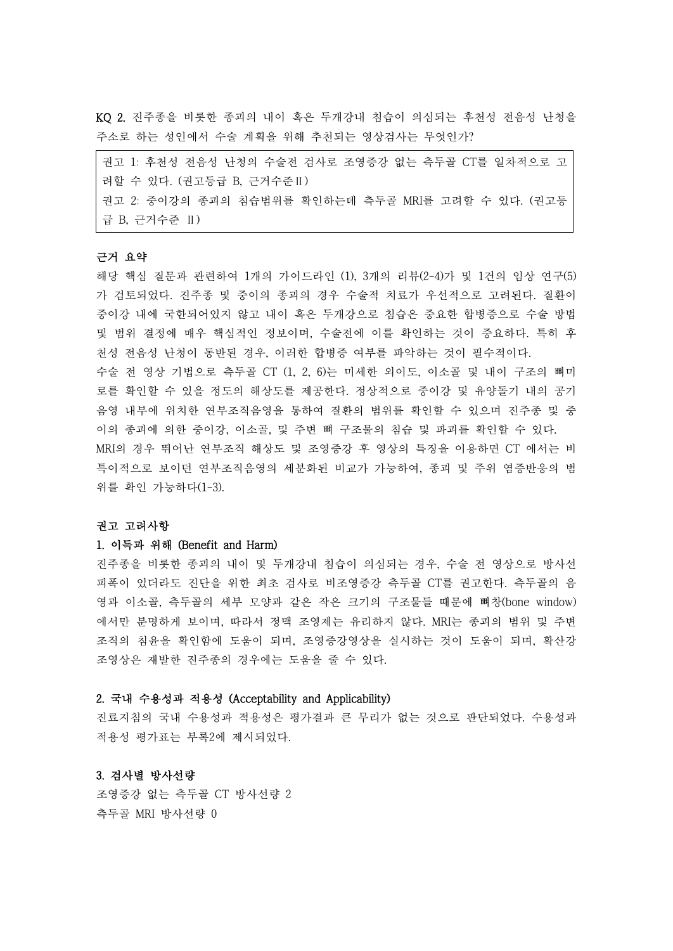KQ 2. 진주종을 비롯한 종괴의 내이 혹은 두개강내 침습이 의심되는 후천성 전음성 난청을 주소로 하는 성인에서 수술 계획을 위해 추천되는 영상검사는 무엇인가?

| 권고 1: 후천성 전음성 난청의 수술전 검사로 조영증강 없는 측두골 CT를 일차적으로 고  |
|----------------------------------------------------|
| 려할 수 있다. (권고등급 B, 근거수준Ⅱ)                           |
| 권고 2: 중이강의 종괴의 침습범위를 확인하는데 측두골 MRI를 고려할 수 있다. (권고등 |
| 급 B, 근거수준 Ⅱ)                                       |

#### 근거 요약

해당 핵심 질문과 관련하여 1개의 가이드라인 (1), 3개의 리뷰(2-4)가 및 1건의 임상 연구(5) 가 검토되었다. 진주종 및 중이의 종괴의 경우 수술적 치료가 우선적으로 고려된다. 질환이 중이강 내에 국한되어있지 않고 내이 혹은 두개강으로 침습은 중요한 합병증으로 수술 방법 및 범위 결정에 매우 핵심적인 정보이며, 수술전에 이를 확인하는 것이 중요하다. 특히 후 천성 전음성 난청이 동반된 경우, 이러한 합병증 여부를 파악하는 것이 필수적이다.

수술 전 영상 기법으로 측두골 CT (1, 2, 6)는 미세한 외이도, 이소골 및 내이 구조의 뼈미 로를 확인할 수 있을 정도의 해상도를 제공한다. 정상적으로 중이강 및 유양돌기 내의 공기 음영 내부에 위치한 연부조직음영을 통하여 질환의 범위를 확인할 수 있으며 진주종 및 중 이의 종괴에 의한 중이강, 이소골, 및 주변 뼈 구조물의 침습 및 파괴를 확인할 수 있다.<br>MRI의 경우 뛰어난 연부조직 해상도 및 조영증강 후 영상의 특징을 이용하면 CT 에서는 비 특이적으로 보이던 연부조직음영의 세분화된 비교가 가능하여, 종괴 및 주위 염증반응의 범 위를 확인 가능하다(1-3).

#### 권고 고려사항

#### 1. 이득과 위해 (Benefit and Harm)

진주종을 비롯한 종괴의 내이 및 두개강내 침습이 의심되는 경우, 수술 전 영상으로 방사선 피폭이 있더라도 진단을 위한 최초 검사로 비조영증강 측두골 CT를 권고한다. 측두골의 음 영과 이소골, 측두골의 세부 모양과 같은 작은 크기의 구조물들 때문에 뼈창(bone window) 에서만 분명하게 보이며, 따라서 정맥 조영제는 유리하지 않다. MRI는 종괴의 범위 및 주변 조직의 침윤을 확인함에 도움이 되며, 조영증강영상을 실시하는 것이 도움이 되며, 확산강 조영상은 재발한 진주종의 경우에는 도움을 줄 수 있다.

### 2. 국내 수용성과 적용성 (Acceptability and Applicability)

진료지침의 국내 수용성과 적용성은 평가결과 큰 무리가 없는 것으로 판단되었다. 수용성과 적용성 평가표는 부록2에 제시되었다.

## 3. 검사별 방사선량

조영증강 없는 측두골 CT 방사선량 2 측두골 MRI 방사선량 0